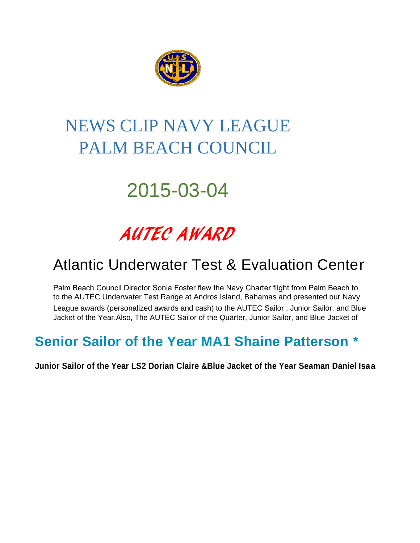

## NEWS CLIP NAVY LEAGUE PALM BEACH COUNCIL

## 2015-03-04

# AUTEC AWARD

## Atlantic Underwater Test & Evaluation Center

Palm Beach Council Director Sonia Foster flew the Navy Charter flight from Palm Beach to to the AUTEC Underwater Test Range at Andros Island, Bahamas and presented our Navy League awards (personalized awards and cash) to the AUTEC Sailor , Junior Sailor, and Blue Jacket of the Year.Also, The AUTEC Sailor of the Quarter, Junior Sailor, and Blue Jacket of

### **Senior Sailor of the Year MA1 Shaine Patterson \***

**Junior Sailor of the Year LS2 Dorian Claire &Blue Jacket of the Year Seaman Daniel Isaa**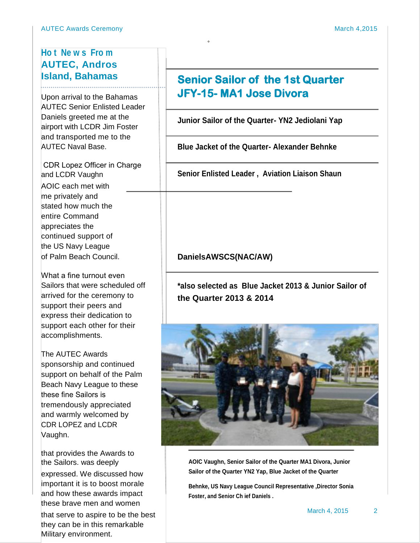#### **Ho t Ne w s Fro m AUTEC, Andros Island, Bahamas**

Upon arrival to the Bahamas AUTEC Senior Enlisted Leader Daniels greeted me at the airport with LCDR Jim Foster and transported me to the AUTEC Naval Base.

CDR Lopez Officer in Charge and LCDR Vaughn AOIC each met with me privately and stated how much the entire Command appreciates the continued support of the US Navy League of Palm Beach Council.

What a fine turnout even Sailors that were scheduled off arrived for the ceremony to support their peers and express their dedication to support each other for their accomplishments.

The AUTEC Awards sponsorship and continued support on behalf of the Palm Beach Navy League to these these fine Sailors is tremendously appreciated and warmly welcomed by CDR LOPEZ and LCDR Vaughn.

that provides the Awards to the Sailors. was deeply

expressed. We discussed how important it is to boost morale and how these awards impact these brave men and women

that serve to aspire to be the best example of the server of the March 4, 2015 they can be in this remarkable Military environment.

### **Senior Sailor of the 1st Quarter JFY-15- MA1 Jose Divora**

**Junior Sailor of the Quarter- YN2 Jediolani Yap**

**Blue Jacket of the Quarter- Alexander Behnke**

**Senior Enlisted Leader , Aviation Liaison Shaun**

#### **DanielsAWSCS(NAC/AW)**

✦

**\*also selected as Blue Jacket 2013 & Junior Sailor of the Quarter 2013 & 2014**



**AOIC Vaughn, Senior Sailor of the Quarter MA1 Divora, Junior Sailor of the Quarter YN2 Yap, Blue Jacket of the Quarter** 

**Behnke, US Navy League Council Representative ,Director Sonia Foster, and Senior Ch ief Daniels .**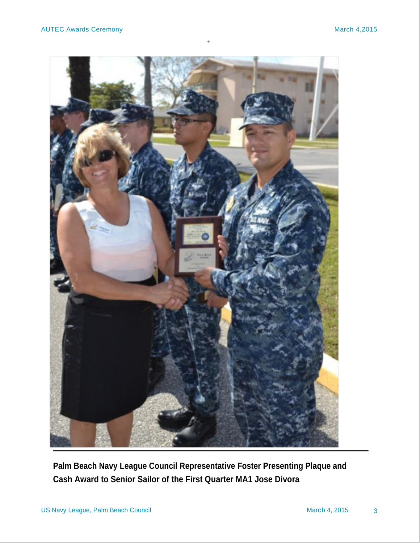

**Palm Beach Navy League Council Representative Foster Presenting Plaque and Cash Award to Senior Sailor of the First Quarter MA1 Jose Divora**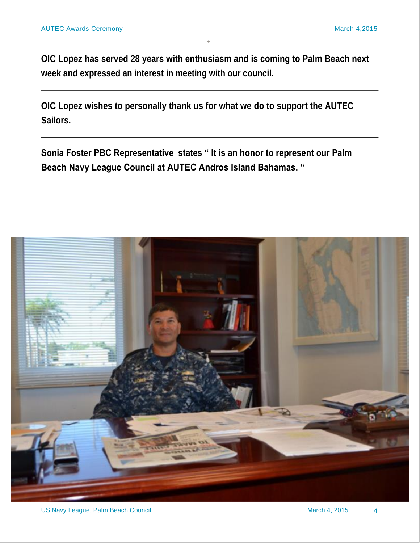**OIC Lopez has served 28 years with enthusiasm and is coming to Palm Beach next week and expressed an interest in meeting with our council.**

✦

**OIC Lopez wishes to personally thank us for what we do to support the AUTEC Sailors.** 

**Sonia Foster PBC Representative states " It is an honor to represent our Palm Beach Navy League Council at AUTEC Andros Island Bahamas. "**



4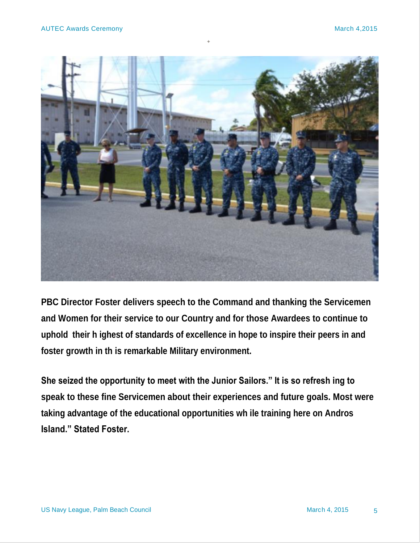

**PBC Director Foster delivers speech to the Command and thanking the Servicemen and Women for their service to our Country and for those Awardees to continue to uphold their h ighest of standards of excellence in hope to inspire their peers in and foster growth in th is remarkable Military environment.** 

**She seized the opportunity to meet with the Junior Sailors." It is so refresh ing to speak to these fine Servicemen about their experiences and future goals. Most were taking advantage of the educational opportunities wh ile training here on Andros Island." Stated Foster.**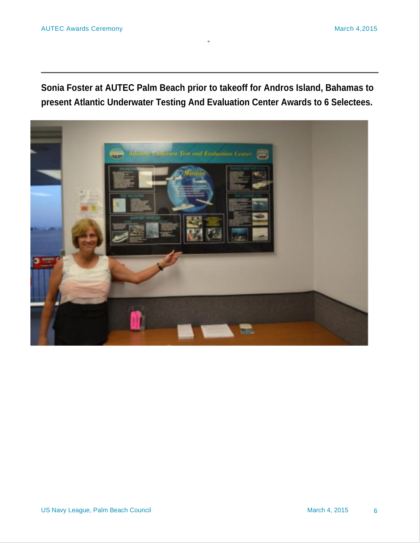**Sonia Foster at AUTEC Palm Beach prior to takeoff for Andros Island, Bahamas to present Atlantic Underwater Testing And Evaluation Center Awards to 6 Selectees.**

✦

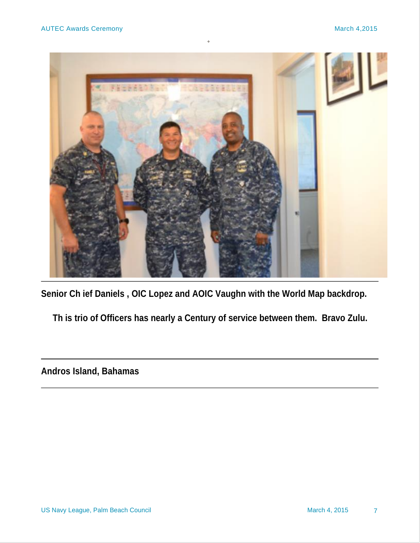

**Senior Ch ief Daniels , OIC Lopez and AOIC Vaughn with the World Map backdrop.**

 **Th is trio of Officers has nearly a Century of service between them. Bravo Zulu.**

**Andros Island, Bahamas**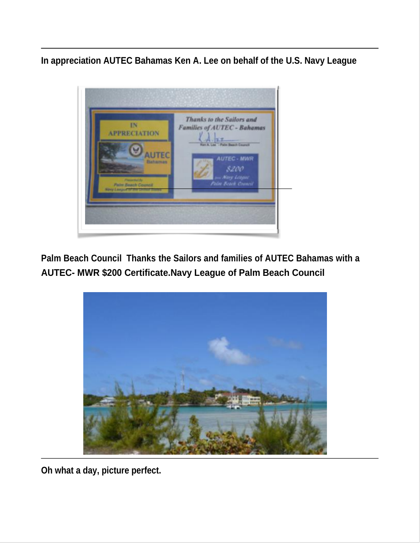**In appreciation AUTEC Bahamas Ken A. Lee on behalf of the U.S. Navy League**



**Palm Beach Council Thanks the Sailors and families of AUTEC Bahamas with a AUTEC- MWR \$200 Certificate.Navy League of Palm Beach Council**



**Oh what a day, picture perfect.**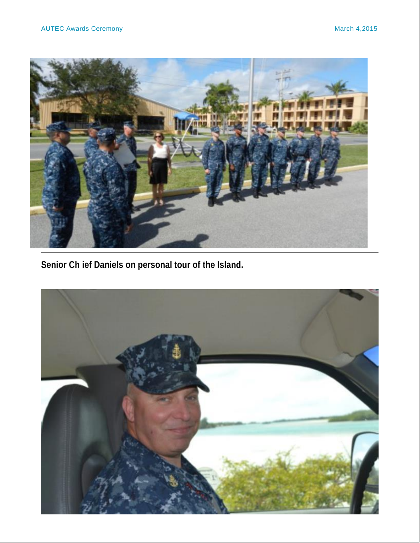

Senior Ch ief Daniels on personal tour of the Island.

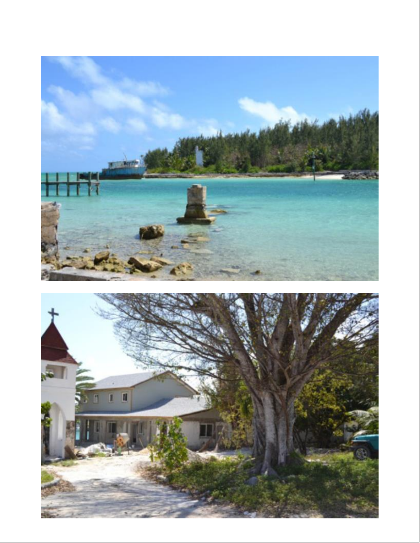